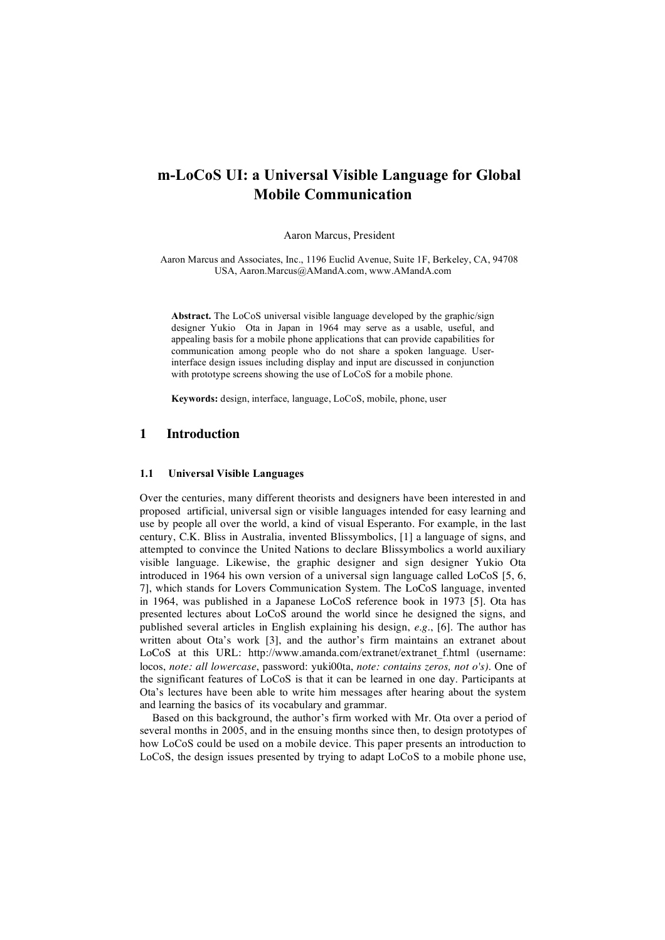# **m-LoCoS UI: a Universal Visible Language for Global Mobile Communication**

Aaron Marcus, President

Aaron Marcus and Associates, Inc., 1196 Euclid Avenue, Suite 1F, Berkeley, CA, 94708 USA, Aaron.Marcus@AMandA.com, www.AMandA.com

**Abstract.** The LoCoS universal visible language developed by the graphic/sign designer Yukio Ota in Japan in 1964 may serve as a usable, useful, and appealing basis for a mobile phone applications that can provide capabilities for communication among people who do not share a spoken language. Userinterface design issues including display and input are discussed in conjunction with prototype screens showing the use of LoCoS for a mobile phone.

**Keywords:** design, interface, language, LoCoS, mobile, phone, user

# **1 Introduction**

# **1.1 Universal Visible Languages**

Over the centuries, many different theorists and designers have been interested in and proposed artificial, universal sign or visible languages intended for easy learning and use by people all over the world, a kind of visual Esperanto. For example, in the last century, C.K. Bliss in Australia, invented Blissymbolics, [1] a language of signs, and attempted to convince the United Nations to declare Blissymbolics a world auxiliary visible language. Likewise, the graphic designer and sign designer Yukio Ota introduced in 1964 his own version of a universal sign language called LoCoS [5, 6, 7], which stands for Lovers Communication System. The LoCoS language, invented in 1964, was published in a Japanese LoCoS reference book in 1973 [5]. Ota has presented lectures about LoCoS around the world since he designed the signs, and published several articles in English explaining his design, *e.g.*, [6]. The author has written about Ota's work [3], and the author's firm maintains an extranet about LoCoS at this URL: http://www.amanda.com/extranet/extranet f.html (username: locos, *note: all lowercase*, password: yuki00ta, *note: contains zeros, not o's).* One of the significant features of LoCoS is that it can be learned in one day. Participants at Ota's lectures have been able to write him messages after hearing about the system and learning the basics of its vocabulary and grammar.

Based on this background, the author's firm worked with Mr. Ota over a period of several months in 2005, and in the ensuing months since then, to design prototypes of how LoCoS could be used on a mobile device. This paper presents an introduction to LoCoS, the design issues presented by trying to adapt LoCoS to a mobile phone use,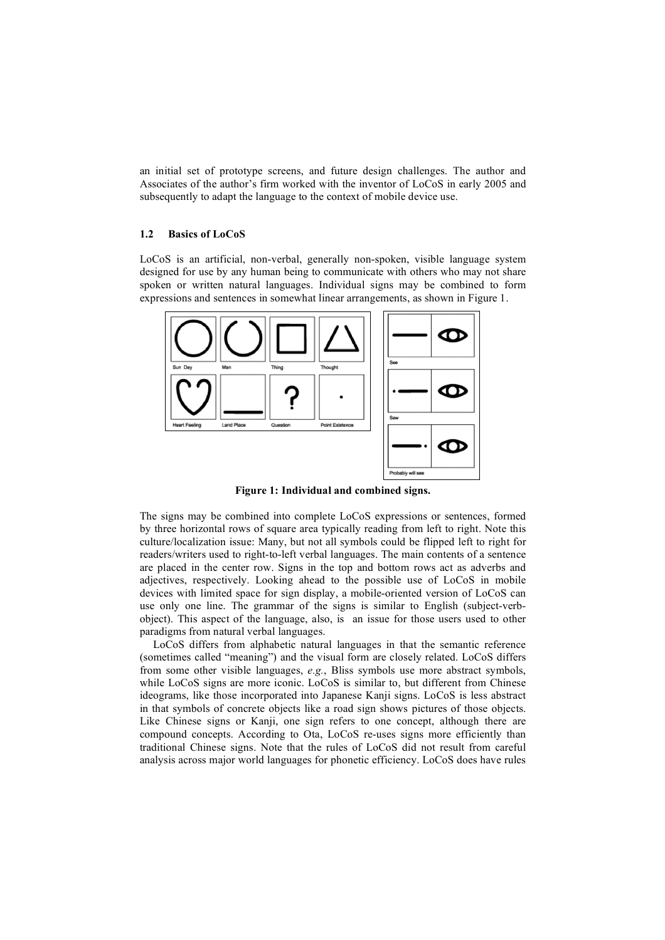an initial set of prototype screens, and future design challenges. The author and Associates of the author's firm worked with the inventor of LoCoS in early 2005 and subsequently to adapt the language to the context of mobile device use.

#### **1.2 Basics of LoCoS**

LoCoS is an artificial, non-verbal, generally non-spoken, visible language system designed for use by any human being to communicate with others who may not share spoken or written natural languages. Individual signs may be combined to form expressions and sentences in somewhat linear arrangements, as shown in Figure 1.



**Figure 1: Individual and combined signs.**

The signs may be combined into complete LoCoS expressions or sentences, formed by three horizontal rows of square area typically reading from left to right. Note this culture/localization issue: Many, but not all symbols could be flipped left to right for readers/writers used to right-to-left verbal languages. The main contents of a sentence are placed in the center row. Signs in the top and bottom rows act as adverbs and adjectives, respectively. Looking ahead to the possible use of LoCoS in mobile devices with limited space for sign display, a mobile-oriented version of LoCoS can use only one line. The grammar of the signs is similar to English (subject-verbobject). This aspect of the language, also, is an issue for those users used to other paradigms from natural verbal languages.

LoCoS differs from alphabetic natural languages in that the semantic reference (sometimes called "meaning") and the visual form are closely related. LoCoS differs from some other visible languages, *e.g.*, Bliss symbols use more abstract symbols, while LoCoS signs are more iconic. LoCoS is similar to, but different from Chinese ideograms, like those incorporated into Japanese Kanji signs. LoCoS is less abstract in that symbols of concrete objects like a road sign shows pictures of those objects. Like Chinese signs or Kanji, one sign refers to one concept, although there are compound concepts. According to Ota, LoCoS re-uses signs more efficiently than traditional Chinese signs. Note that the rules of LoCoS did not result from careful analysis across major world languages for phonetic efficiency. LoCoS does have rules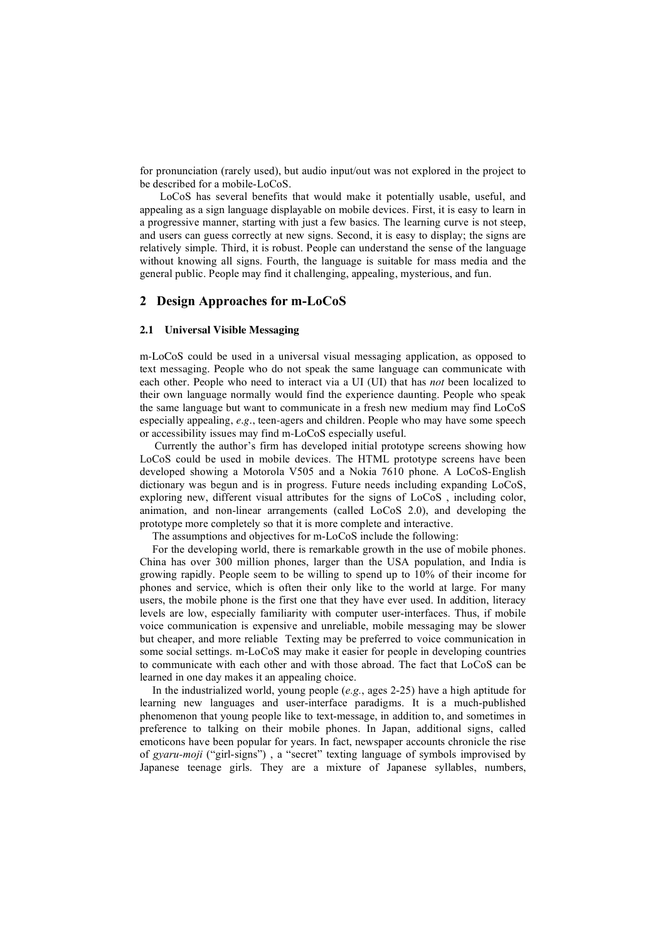for pronunciation (rarely used), but audio input/out was not explored in the project to be described for a mobile-LoCoS.

LoCoS has several benefits that would make it potentially usable, useful, and appealing as a sign language displayable on mobile devices. First, it is easy to learn in a progressive manner, starting with just a few basics. The learning curve is not steep, and users can guess correctly at new signs. Second, it is easy to display; the signs are relatively simple. Third, it is robust. People can understand the sense of the language without knowing all signs. Fourth, the language is suitable for mass media and the general public. People may find it challenging, appealing, mysterious, and fun.

# **2 Design Approaches for m-LoCoS**

#### **2.1 Universal Visible Messaging**

m-LoCoS could be used in a universal visual messaging application, as opposed to text messaging. People who do not speak the same language can communicate with each other. People who need to interact via a UI (UI) that has *not* been localized to their own language normally would find the experience daunting. People who speak the same language but want to communicate in a fresh new medium may find LoCoS especially appealing, *e.g.*, teen-agers and children. People who may have some speech or accessibility issues may find m-LoCoS especially useful.

Currently the author's firm has developed initial prototype screens showing how LoCoS could be used in mobile devices. The HTML prototype screens have been developed showing a Motorola V505 and a Nokia 7610 phone. A LoCoS-English dictionary was begun and is in progress. Future needs including expanding LoCoS, exploring new, different visual attributes for the signs of LoCoS , including color, animation, and non-linear arrangements (called LoCoS 2.0), and developing the prototype more completely so that it is more complete and interactive.

The assumptions and objectives for m-LoCoS include the following:

For the developing world, there is remarkable growth in the use of mobile phones. China has over 300 million phones, larger than the USA population, and India is growing rapidly. People seem to be willing to spend up to 10% of their income for phones and service, which is often their only like to the world at large. For many users, the mobile phone is the first one that they have ever used. In addition, literacy levels are low, especially familiarity with computer user-interfaces. Thus, if mobile voice communication is expensive and unreliable, mobile messaging may be slower but cheaper, and more reliable Texting may be preferred to voice communication in some social settings. m-LoCoS may make it easier for people in developing countries to communicate with each other and with those abroad. The fact that LoCoS can be learned in one day makes it an appealing choice.

In the industrialized world, young people (*e.g.*, ages 2-25) have a high aptitude for learning new languages and user-interface paradigms. It is a much-published phenomenon that young people like to text-message, in addition to, and sometimes in preference to talking on their mobile phones. In Japan, additional signs, called emoticons have been popular for years. In fact, newspaper accounts chronicle the rise of *gyaru-moji* ("girl-signs") , a "secret" texting language of symbols improvised by Japanese teenage girls. They are a mixture of Japanese syllables, numbers,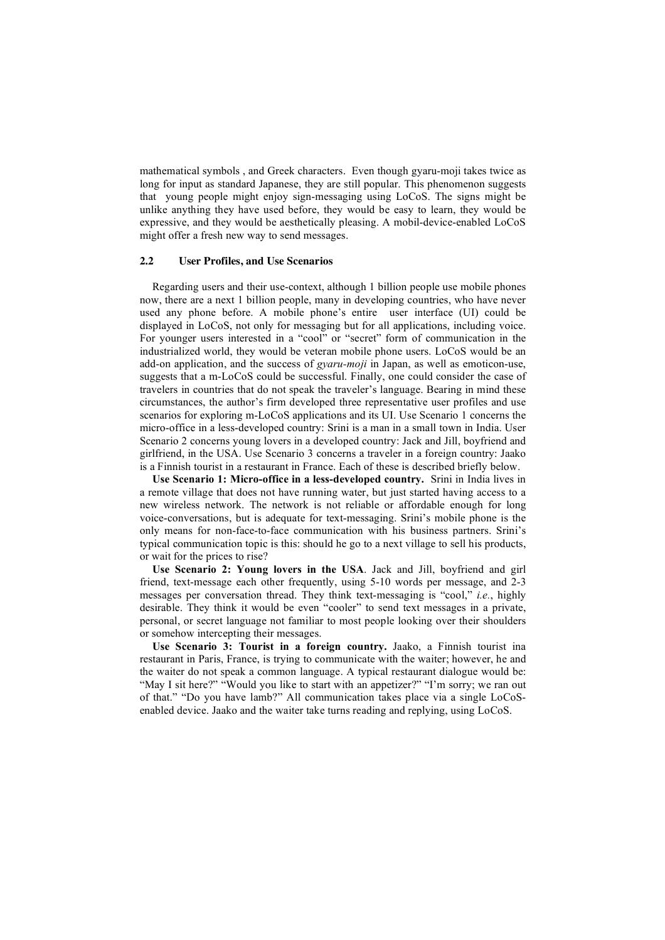mathematical symbols , and Greek characters. Even though gyaru-moji takes twice as long for input as standard Japanese, they are still popular. This phenomenon suggests that young people might enjoy sign-messaging using LoCoS. The signs might be unlike anything they have used before, they would be easy to learn, they would be expressive, and they would be aesthetically pleasing. A mobil-device-enabled LoCoS might offer a fresh new way to send messages.

#### **2.2 User Profiles, and Use Scenarios**

Regarding users and their use-context, although 1 billion people use mobile phones now, there are a next 1 billion people, many in developing countries, who have never used any phone before. A mobile phone's entire user interface (UI) could be displayed in LoCoS, not only for messaging but for all applications, including voice. For younger users interested in a "cool" or "secret" form of communication in the industrialized world, they would be veteran mobile phone users. LoCoS would be an add-on application, and the success of *gyaru-moji* in Japan, as well as emoticon-use, suggests that a m-LoCoS could be successful. Finally, one could consider the case of travelers in countries that do not speak the traveler's language. Bearing in mind these circumstances, the author's firm developed three representative user profiles and use scenarios for exploring m-LoCoS applications and its UI. Use Scenario 1 concerns the micro-office in a less-developed country: Srini is a man in a small town in India. User Scenario 2 concerns young lovers in a developed country: Jack and Jill, boyfriend and girlfriend, in the USA. Use Scenario 3 concerns a traveler in a foreign country: Jaako is a Finnish tourist in a restaurant in France. Each of these is described briefly below.

**Use Scenario 1: Micro-office in a less-developed country.** Srini in India lives in a remote village that does not have running water, but just started having access to a new wireless network. The network is not reliable or affordable enough for long voice-conversations, but is adequate for text-messaging. Srini's mobile phone is the only means for non-face-to-face communication with his business partners. Srini's typical communication topic is this: should he go to a next village to sell his products, or wait for the prices to rise?

**Use Scenario 2: Young lovers in the USA**. Jack and Jill, boyfriend and girl friend, text-message each other frequently, using 5-10 words per message, and 2-3 messages per conversation thread. They think text-messaging is "cool," *i.e.*, highly desirable. They think it would be even "cooler" to send text messages in a private, personal, or secret language not familiar to most people looking over their shoulders or somehow intercepting their messages.

**Use Scenario 3: Tourist in a foreign country.** Jaako, a Finnish tourist ina restaurant in Paris, France, is trying to communicate with the waiter; however, he and the waiter do not speak a common language. A typical restaurant dialogue would be: "May I sit here?" "Would you like to start with an appetizer?" "I'm sorry; we ran out of that." "Do you have lamb?" All communication takes place via a single LoCoSenabled device. Jaako and the waiter take turns reading and replying, using LoCoS.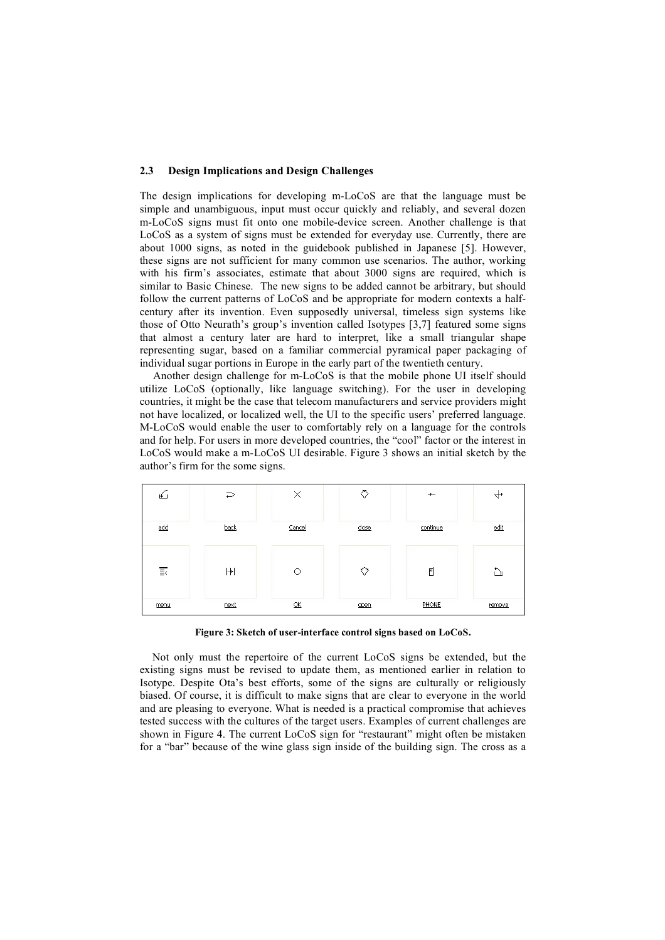#### **2.3 Design Implications and Design Challenges**

The design implications for developing m-LoCoS are that the language must be simple and unambiguous, input must occur quickly and reliably, and several dozen m-LoCoS signs must fit onto one mobile-device screen. Another challenge is that LoCoS as a system of signs must be extended for everyday use. Currently, there are about 1000 signs, as noted in the guidebook published in Japanese [5]. However, these signs are not sufficient for many common use scenarios. The author, working with his firm's associates, estimate that about 3000 signs are required, which is similar to Basic Chinese. The new signs to be added cannot be arbitrary, but should follow the current patterns of LoCoS and be appropriate for modern contexts a halfcentury after its invention. Even supposedly universal, timeless sign systems like those of Otto Neurath's group's invention called Isotypes [3,7] featured some signs that almost a century later are hard to interpret, like a small triangular shape representing sugar, based on a familiar commercial pyramical paper packaging of individual sugar portions in Europe in the early part of the twentieth century.

Another design challenge for m-LoCoS is that the mobile phone UI itself should utilize LoCoS (optionally, like language switching). For the user in developing countries, it might be the case that telecom manufacturers and service providers might not have localized, or localized well, the UI to the specific users' preferred language. M-LoCoS would enable the user to comfortably rely on a language for the controls and for help. For users in more developed countries, the "cool" factor or the interest in LoCoS would make a m-LoCoS UI desirable. Figure 3 shows an initial sketch by the author's firm for the some signs.

| ⊯    | ₽            | ×                        | ◇     | $\rightarrow -$ |        |
|------|--------------|--------------------------|-------|-----------------|--------|
| add  | <b>back</b>  | Cancel                   | close | continue        | edit   |
| 氢    | $\mathsf{H}$ | О                        | ♡     | đ               |        |
| menu | next         | $\overline{\mathsf{OK}}$ | open  | <b>PHONE</b>    | remove |

**Figure 3: Sketch of user-interface control signs based on LoCoS.**

Not only must the repertoire of the current LoCoS signs be extended, but the existing signs must be revised to update them, as mentioned earlier in relation to Isotype. Despite Ota's best efforts, some of the signs are culturally or religiously biased. Of course, it is difficult to make signs that are clear to everyone in the world and are pleasing to everyone. What is needed is a practical compromise that achieves tested success with the cultures of the target users. Examples of current challenges are shown in Figure 4. The current LoCoS sign for "restaurant" might often be mistaken for a "bar" because of the wine glass sign inside of the building sign. The cross as a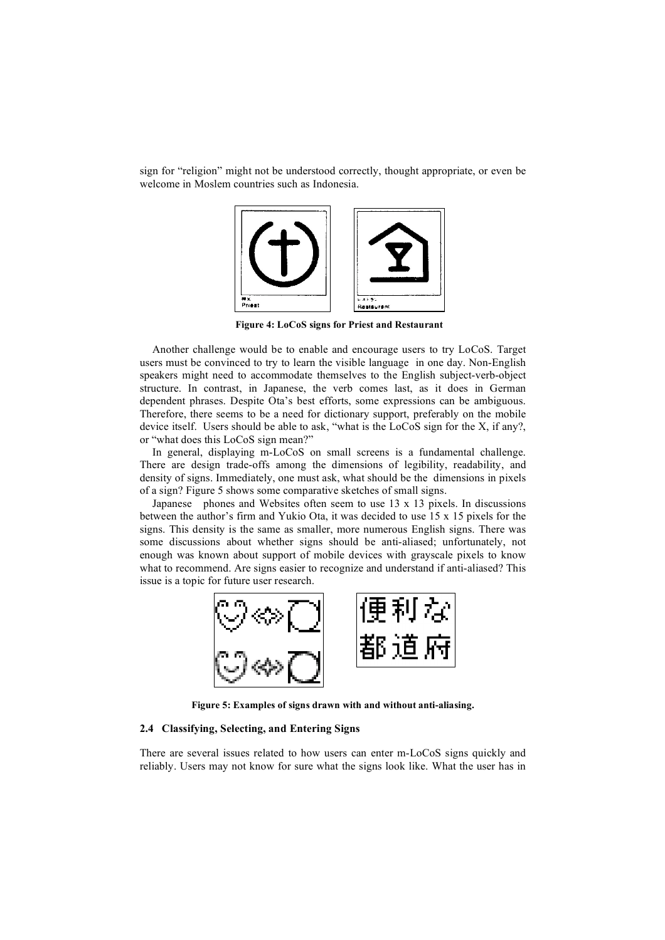sign for "religion" might not be understood correctly, thought appropriate, or even be welcome in Moslem countries such as Indonesia.



**Figure 4: LoCoS signs for Priest and Restaurant**

Another challenge would be to enable and encourage users to try LoCoS. Target users must be convinced to try to learn the visible language in one day. Non-English speakers might need to accommodate themselves to the English subject-verb-object structure. In contrast, in Japanese, the verb comes last, as it does in German dependent phrases. Despite Ota's best efforts, some expressions can be ambiguous. Therefore, there seems to be a need for dictionary support, preferably on the mobile device itself. Users should be able to ask, "what is the LoCoS sign for the X, if any?, or "what does this LoCoS sign mean?"

In general, displaying m-LoCoS on small screens is a fundamental challenge. There are design trade-offs among the dimensions of legibility, readability, and density of signs. Immediately, one must ask, what should be the dimensions in pixels of a sign? Figure 5 shows some comparative sketches of small signs.

Japanese phones and Websites often seem to use 13 x 13 pixels. In discussions between the author's firm and Yukio Ota, it was decided to use 15 x 15 pixels for the signs. This density is the same as smaller, more numerous English signs. There was some discussions about whether signs should be anti-aliased; unfortunately, not enough was known about support of mobile devices with grayscale pixels to know what to recommend. Are signs easier to recognize and understand if anti-aliased? This issue is a topic for future user research.



**Figure 5: Examples of signs drawn with and without anti-aliasing.**

#### **2.4 Classifying, Selecting, and Entering Signs**

There are several issues related to how users can enter m-LoCoS signs quickly and reliably. Users may not know for sure what the signs look like. What the user has in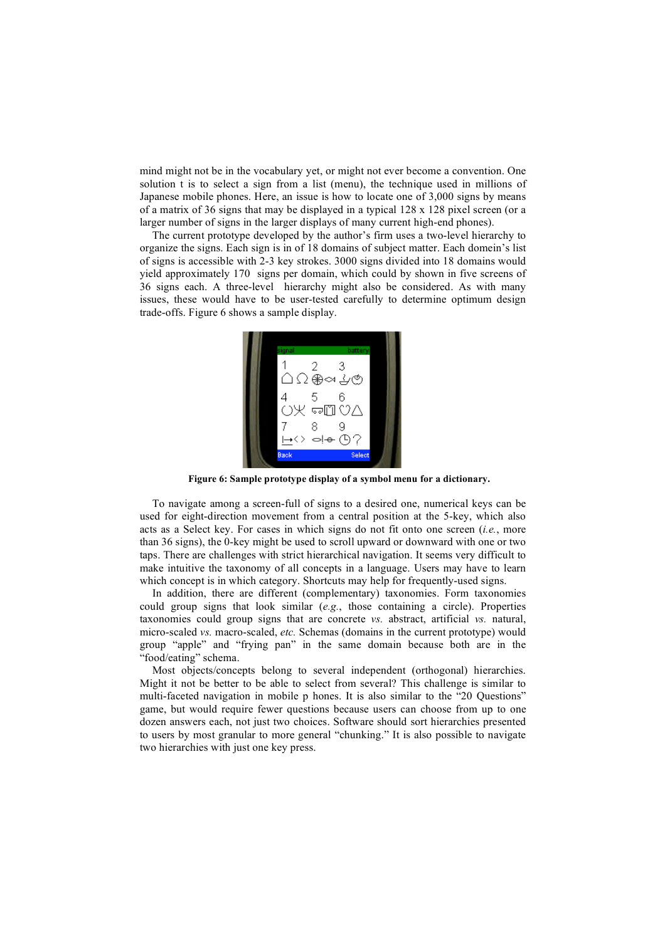mind might not be in the vocabulary yet, or might not ever become a convention. One solution t is to select a sign from a list (menu), the technique used in millions of Japanese mobile phones. Here, an issue is how to locate one of 3,000 signs by means of a matrix of 36 signs that may be displayed in a typical 128 x 128 pixel screen (or a larger number of signs in the larger displays of many current high-end phones).

The current prototype developed by the author's firm uses a two-level hierarchy to organize the signs. Each sign is in of 18 domains of subject matter. Each domein's list of signs is accessible with 2-3 key strokes. 3000 signs divided into 18 domains would yield approximately 170 signs per domain, which could by shown in five screens of 36 signs each. A three-level hierarchy might also be considered. As with many issues, these would have to be user-tested carefully to determine optimum design trade-offs. Figure 6 shows a sample display.



**Figure 6: Sample prototype display of a symbol menu for a dictionary.**

To navigate among a screen-full of signs to a desired one, numerical keys can be used for eight-direction movement from a central position at the 5-key, which also acts as a Select key. For cases in which signs do not fit onto one screen (*i.e.*, more than 36 signs), the 0-key might be used to scroll upward or downward with one or two taps. There are challenges with strict hierarchical navigation. It seems very difficult to make intuitive the taxonomy of all concepts in a language. Users may have to learn which concept is in which category. Shortcuts may help for frequently-used signs.

In addition, there are different (complementary) taxonomies. Form taxonomies could group signs that look similar (*e.g.*, those containing a circle). Properties taxonomies could group signs that are concrete *vs.* abstract, artificial *vs.* natural, micro-scaled *vs.* macro-scaled, *etc.* Schemas (domains in the current prototype) would group "apple" and "frying pan" in the same domain because both are in the "food/eating" schema.

Most objects/concepts belong to several independent (orthogonal) hierarchies. Might it not be better to be able to select from several? This challenge is similar to multi-faceted navigation in mobile p hones. It is also similar to the "20 Questions" game, but would require fewer questions because users can choose from up to one dozen answers each, not just two choices. Software should sort hierarchies presented to users by most granular to more general "chunking." It is also possible to navigate two hierarchies with just one key press.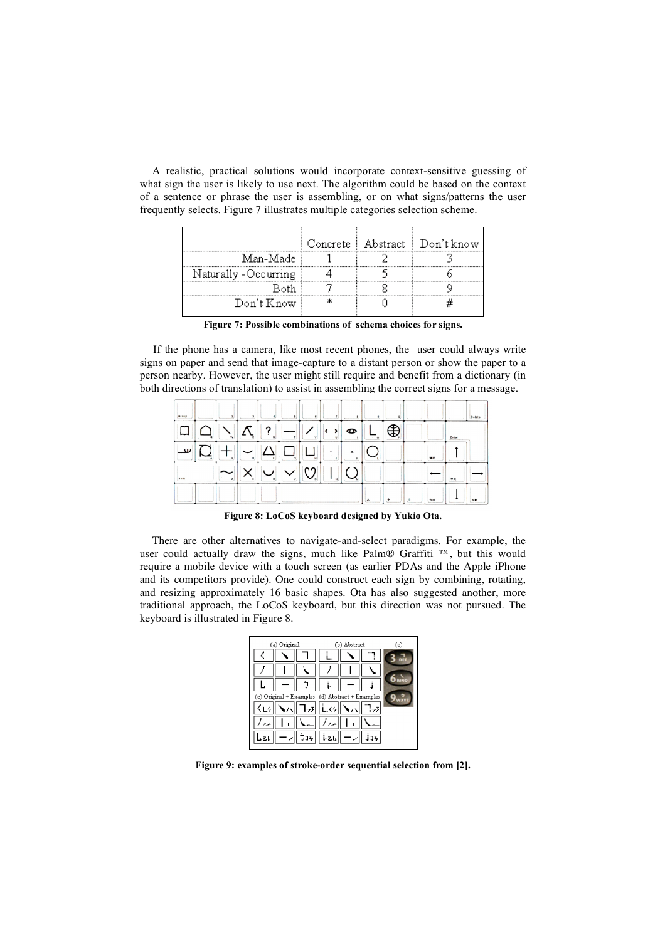A realistic, practical solutions would incorporate context-sensitive guessing of what sign the user is likely to use next. The algorithm could be based on the context of a sentence or phrase the user is assembling, or on what signs/patterns the user frequently selects. Figure 7 illustrates multiple categories selection scheme.

|                      |  | Concrete   Abstract   Don't know |
|----------------------|--|----------------------------------|
| Man-Made             |  |                                  |
| Naturally -Occurring |  |                                  |
| Both                 |  |                                  |
| Don't Know           |  |                                  |
|                      |  |                                  |

**Figure 7: Possible combinations of schema choices for signs.**

If the phone has a camera, like most recent phones, the user could always write signs on paper and send that image-capture to a distant person or show the paper to a person nearby. However, the user might still require and benefit from a dictionary (in both directions of translation) to assist in assembling the correct signs for a message.

| Group        |         | $\mathbf{2}$ |    | ٠                      | 5                        | ¢.     | ٠           |            | $\circ$                   | $\circ$ |    |    |       | Delete |
|--------------|---------|--------------|----|------------------------|--------------------------|--------|-------------|------------|---------------------------|---------|----|----|-------|--------|
|              | $\circ$ | w,           | ε  | o<br>٠<br>$\mathbb{R}$ | $\overline{\phantom{a}}$ | Y      | d<br>$\cup$ | മ          | $\circ$<br>$\sim$         | €       |    |    | Enter |        |
| w            | A       | s            | D, | F<br>_____             | $\mathbf{G}$             | H      | <u>J</u>    | ▴<br>ĸ     | -5                        |         |    | 潮民 |       |        |
| <b>Shift</b> |         | $\mathbf{z}$ | ×  | c.                     |                          | Ē<br>B | N           | M<br>----- |                           |         |    |    | 中央    |        |
|              |         |              |    |                        |                          |        |             |            | $\star$<br><b>Service</b> | ٠       | M. | 合成 |       | 反転     |

**Figure 8: LoCoS keyboard designed by Yukio Ota.**

There are other alternatives to navigate-and-select paradigms. For example, the user could actually draw the signs, much like Palm® Graffiti ™, but this would require a mobile device with a touch screen (as earlier PDAs and the Apple iPhone and its competitors provide). One could construct each sign by combining, rotating, and resizing approximately 16 basic shapes. Ota has also suggested another, more traditional approach, the LoCoS keyboard, but this direction was not pursued. The keyboard is illustrated in Figure 8.

| (a) Original                                    |  | (b) Abstract | (e) |   |  |
|-------------------------------------------------|--|--------------|-----|---|--|
|                                                 |  |              |     | Ě |  |
|                                                 |  |              |     |   |  |
|                                                 |  | Ī            |     |   |  |
| (c) Original + Examples (d) Abstract + Examples |  |              |     |   |  |
|                                                 |  |              |     |   |  |
|                                                 |  |              |     |   |  |
|                                                 |  | ŧ            |     |   |  |

**Figure 9: examples of stroke-order sequential selection from [2].**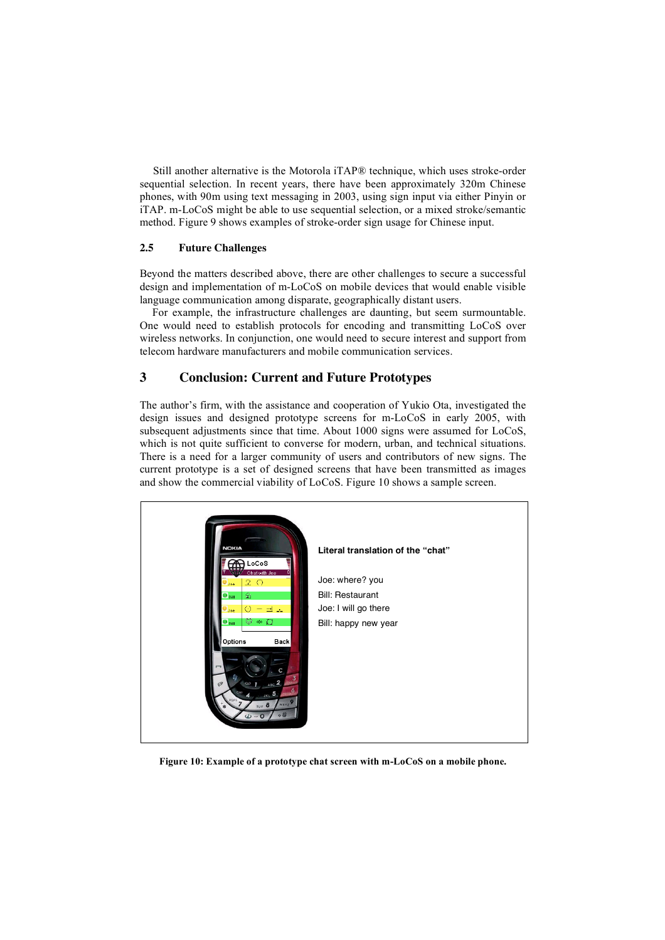Still another alternative is the Motorola iTAP® technique, which uses stroke-order sequential selection. In recent years, there have been approximately 320m Chinese phones, with 90m using text messaging in 2003, using sign input via either Pinyin or iTAP. m-LoCoS might be able to use sequential selection, or a mixed stroke/semantic method. Figure 9 shows examples of stroke-order sign usage for Chinese input.

### **2.5 Future Challenges**

Beyond the matters described above, there are other challenges to secure a successful design and implementation of m-LoCoS on mobile devices that would enable visible language communication among disparate, geographically distant users.

For example, the infrastructure challenges are daunting, but seem surmountable. One would need to establish protocols for encoding and transmitting LoCoS over wireless networks. In conjunction, one would need to secure interest and support from telecom hardware manufacturers and mobile communication services.

# **3 Conclusion: Current and Future Prototypes**

The author's firm, with the assistance and cooperation of Yukio Ota, investigated the design issues and designed prototype screens for m-LoCoS in early 2005, with subsequent adjustments since that time. About 1000 signs were assumed for LoCoS, which is not quite sufficient to converse for modern, urban, and technical situations. There is a need for a larger community of users and contributors of new signs. The current prototype is a set of designed screens that have been transmitted as images and show the commercial viability of LoCoS. Figure 10 shows a sample screen.



**Figure 10: Example of a prototype chat screen with m-LoCoS on a mobile phone.**